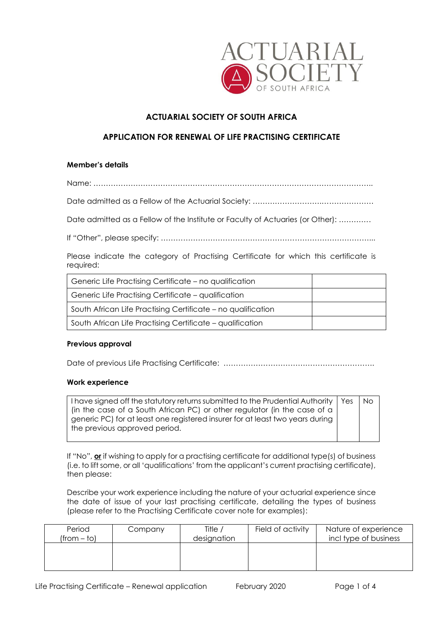

# **ACTUARIAL SOCIETY OF SOUTH AFRICA**

## **APPLICATION FOR RENEWAL OF LIFE PRACTISING CERTIFICATE**

### **Member's details**

Name: …………………………………………………………………………………………………..

Date admitted as a Fellow of the Actuarial Society: ……………………….…………………

Date admitted as a Fellow of the Institute or Faculty of Actuaries (or Other): ………….

If "Other", please specify: …………………………………………………………………………...

Please indicate the category of Practising Certificate for which this certificate is required:

| Generic Life Practising Certificate – no qualification       |  |
|--------------------------------------------------------------|--|
| Generic Life Practising Certificate – qualification          |  |
| South African Life Practising Certificate - no qualification |  |
| South African Life Practising Certificate - qualification    |  |

### **Previous approval**

Date of previous Life Practising Certificate: …………………………………………………………………………………………

### **Work experience**

I have signed off the statutory returns submitted to the Prudential Authority (in the case of a South African PC) or other regulator (in the case of a generic PC) for at least one registered insurer for at least two years during the previous approved period. Yes | No

If "No", **or** if wishing to apply for a practising certificate for additional type(s) of business (i.e. to lift some, or all 'qualifications' from the applicant's current practising certificate), then please:

Describe your work experience including the nature of your actuarial experience since the date of issue of your last practising certificate, detailing the types of business (please refer to the Practising Certificate cover note for examples):

| Period<br>$(from - to)$ | Company | Title /<br>designation | Field of activity | Nature of experience<br>incl type of business |
|-------------------------|---------|------------------------|-------------------|-----------------------------------------------|
|                         |         |                        |                   |                                               |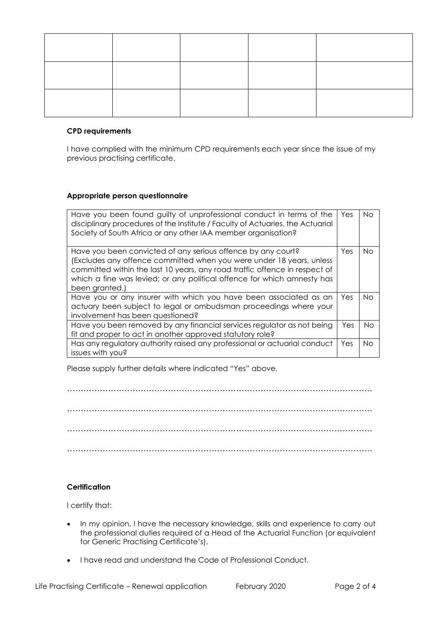## **CPD requirements**

I have complied with the minimum CPD requirements each year since the issue of my previous practising certificate.

## **Appropriate person questionnaire**

| Have you been found guilty of unprofessional conduct in terms of the<br>disciplinary procedures of the Institute / Faculty of Actuaries, the Actuarial<br>Society of South Africa or any other IAA member organisation?                                                                                         | Yes  | No. |
|-----------------------------------------------------------------------------------------------------------------------------------------------------------------------------------------------------------------------------------------------------------------------------------------------------------------|------|-----|
| Have you been convicted of any serious offence by any court?<br>(Excludes any offence committed when you were under 18 years, unless<br>committed within the last 10 years, any road traffic offence in respect of<br>which a fine was levied; or any political offence for which amnesty has<br>been granted.) | Yes. | No. |
| Have you or any insurer with which you have been associated as an<br>actuary been subject to legal or ombudsman proceedings where your<br>involvement has been questioned?                                                                                                                                      | Yes  | No. |
| Have you been removed by any financial services regulator as not being<br>fit and proper to act in another approved statutory role?                                                                                                                                                                             | Yes  | No. |
| Has any regulatory authority raised any professional or actuarial conduct<br>issues with you?                                                                                                                                                                                                                   | Yes  | No. |

Please supply further details where indicated "Yes" above.

…………………………………………………………………………………………………. …………………………………………………………………………………………………. …………………………………………………………………………………………………. ………………………………………………………………………………………………….

## **Certification**

I certify that:

- In my opinion, I have the necessary knowledge, skills and experience to carry out the professional duties required of a Head of the Actuarial Function (or equivalent for Generic Practising Certificate's).
- I have read and understand the Code of Professional Conduct.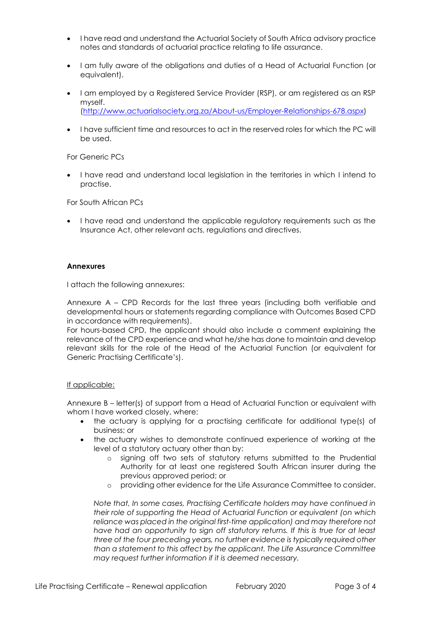- I have read and understand the Actuarial Society of South Africa advisory practice notes and standards of actuarial practice relating to life assurance.
- I am fully aware of the obligations and duties of a Head of Actuarial Function (or equivalent).
- I am employed by a Registered Service Provider (RSP), or am registered as an RSP myself. [\(http://www.actuarialsociety.org.za/About-us/Employer-Relationships-678.aspx\)](http://www.actuarialsociety.org.za/About-us/Employer-Relationships-678.aspx)
- I have sufficient time and resources to act in the reserved roles for which the PC will be used.

For Generic PCs

• I have read and understand local legislation in the territories in which I intend to practise.

For South African PCs

• I have read and understand the applicable regulatory requirements such as the Insurance Act, other relevant acts, regulations and directives.

#### **Annexures**

I attach the following annexures:

Annexure A – CPD Records for the last three years (including both verifiable and developmental hours or statements regarding compliance with Outcomes Based CPD in accordance with requirements).

For hours-based CPD, the applicant should also include a comment explaining the relevance of the CPD experience and what he/she has done to maintain and develop relevant skills for the role of the Head of the Actuarial Function (or equivalent for Generic Practising Certificate's).

### If applicable:

Annexure B – letter(s) of support from a Head of Actuarial Function or equivalent with whom I have worked closely, where:

- the actuary is applying for a practising certificate for additional type(s) of business; or
- the actuary wishes to demonstrate continued experience of working at the level of a statutory actuary other than by:
	- o signing off two sets of statutory returns submitted to the Prudential Authority for at least one registered South African insurer during the previous approved period; or
	- o providing other evidence for the Life Assurance Committee to consider.

*Note that, In some cases, Practising Certificate holders may have continued in their role of supporting the Head of Actuarial Function or equivalent (on which reliance was placed in the original first-time application) and may therefore not have had an opportunity to sign off statutory returns. If this is true for at least three of the four preceding years, no further evidence is typically required other than a statement to this affect by the applicant. The Life Assurance Committee may request further information if it is deemed necessary.*